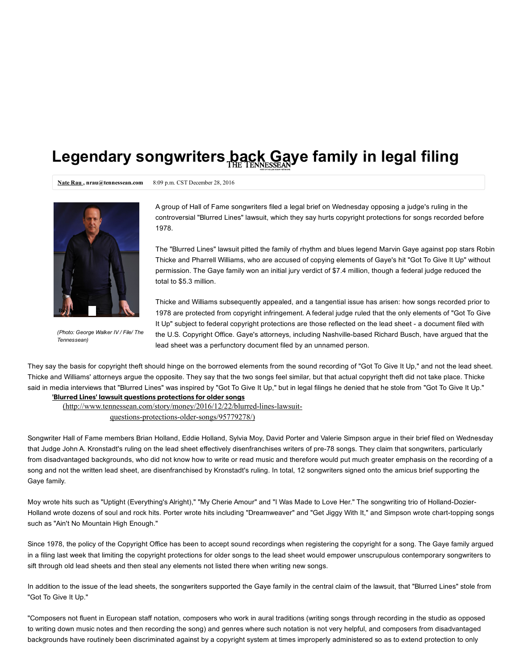## Legendary songwriters back Gaye family in legal filing

Nate Rau, nrau@tennessean.com 8:09 p.m. CST December 28, 2016



(Photo: George Walker IV / File/ The Tennessean)

A group of Hall of Fame songwriters filed a legal brief on Wednesday opposing a judge's ruling in the controversial "Blur[red Lines" lawsuit, which they say hurts copyright protections for songs recor](https://subscribe.tennessean.com/subscribe/?productId=3772831&gps-source=BENBAR499&utm_medium=overlay&utm_source=bounce-exchange&utm_campaign=BENBAR499&utm_content=nanobar)ded before 1978.

The "Blurred Lines" lawsuit pitted the family of rhythm and blues legend Marvin Gaye against pop stars Robin Thicke and Pharrell Williams, who are accused of copying elements of Gaye's hit "Got To Give It Up" without permission. The Gaye family won an initial jury verdict of \$7.4 million, though a federal judge reduced the total to \$5.3 million.

Thicke and Williams subsequently appealed, and a tangential issue has arisen: how songs recorded prior to 1978 are protected from copyright infringement. A federal judge ruled that the only elements of "Got To Give It Up" subject to federal copyright protections are those reflected on the lead sheet - a document filed with the U.S. Copyright Office. Gaye's attorneys, including Nashville-based Richard Busch, have argued that the lead sheet was a perfunctory document filed by an unnamed person.

They say the basis for copyright theft should hinge on the borrowed elements from the sound recording of "Got To Give It Up," and not the lead sheet. Thicke and Williams' attorneys argue the opposite. They say that the two songs feel similar, but that actual copyright theft did not take place. Thicke said in media interviews that "Blurred Lines" was inspired by "Got To Give It Up," but in legal filings he denied that he stole from "Got To Give It Up."

## 'Blurred Lines' lawsuit questions protections for older songs

(http://www.tennessean.com/story/money/2016/12/22/blurred-lines-lawsuitquestions-protections-older-songs/95779278/)

Songwriter Hall of Fame members Brian Holland, Eddie Holland, Sylvia Moy, David Porter and Valerie Simpson argue in their brief filed on Wednesday that Judge John A. Kronstadt's ruling on the lead sheet effectively disenfranchises writers of pre-78 songs. They claim that songwriters, particularly from disadvantaged backgrounds, who did not know how to write or read music and therefore would put much greater emphasis on the recording of a song and not the written lead sheet, are disenfranchised by Kronstadt's ruling. In total, 12 songwriters signed onto the amicus brief supporting the Gaye family.

Moy wrote hits such as "Uptight (Everything's Alright)," "My Cherie Amour" and "I Was Made to Love Her." The songwriting trio of Holland-Dozier-Holland wrote dozens of soul and rock hits. Porter wrote hits including "Dreamweaver" and "Get Jiggy With It," and Simpson wrote charttopping songs such as "Ain't No Mountain High Enough."

Since 1978, the policy of the Copyright Office has been to accept sound recordings when registering the copyright for a song. The Gaye family argued in a filing last week that limiting the copyright protections for older songs to the lead sheet would empower unscrupulous contemporary songwriters to sift through old lead sheets and then steal any elements not listed there when writing new songs.

In addition to the issue of the lead sheets, the songwriters supported the Gaye family in the central claim of the lawsuit, that "Blurred Lines" stole from "Got To Give It Up."

"Composers not fluent in European staff notation, composers who work in aural traditions (writing songs through recording in the studio as opposed to writing down music notes and then recording the song) and genres where such notation is not very helpful, and composers from disadvantaged backgrounds have routinely been discriminated against by a copyright system at times improperly administered so as to extend protection to only